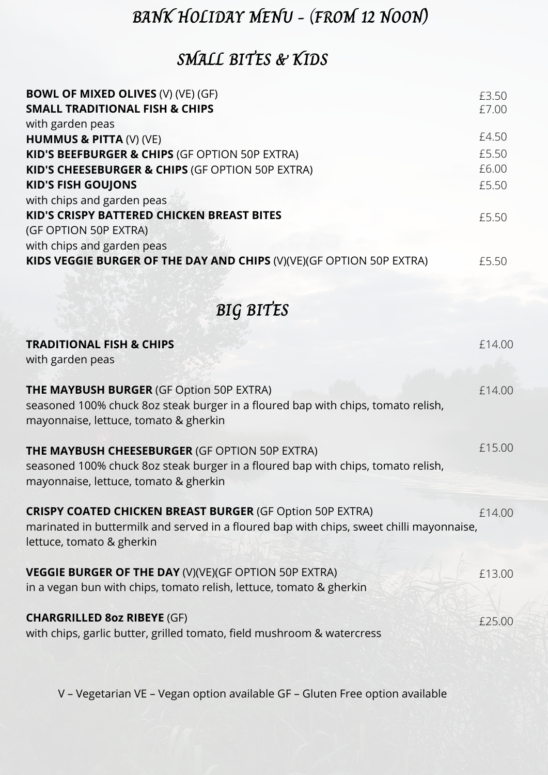## **BANK HOLIDAY MENU -** (**FROM 12 NOON)**

### **SMALL BITES & KIDS**

| <b>BOWL OF MIXED OLIVES (V) (VE) (GF)</b>                            | £3.50  |
|----------------------------------------------------------------------|--------|
| <b>SMALL TRADITIONAL FISH &amp; CHIPS</b>                            | £7.00  |
| with garden peas                                                     |        |
| <b>HUMMUS &amp; PITTA (V) (VE)</b>                                   | £4.50  |
| KID'S BEEFBURGER & CHIPS (GF OPTION 50P EXTRA)                       | £5.50  |
| KID'S CHEESEBURGER & CHIPS (GF OPTION 50P EXTRA)                     | £6.00  |
| <b>KID'S FISH GOUJONS</b>                                            | £5.50  |
| with chips and garden peas                                           |        |
| KID'S CRISPY BATTERED CHICKEN BREAST BITES                           | £5.50  |
| (GF OPTION 50P EXTRA)                                                |        |
| with chips and garden peas                                           |        |
| KIDS VEGGIE BURGER OF THE DAY AND CHIPS (V)(VE)(GF OPTION 50P EXTRA) | f.5.50 |
|                                                                      |        |

# **BIG BITES**

| <b>TRADITIONAL FISH &amp; CHIPS</b><br>with garden peas                                                                                                                                   | £14.00 |
|-------------------------------------------------------------------------------------------------------------------------------------------------------------------------------------------|--------|
| <b>THE MAYBUSH BURGER (GF Option 50P EXTRA)</b><br>seasoned 100% chuck 8oz steak burger in a floured bap with chips, tomato relish,<br>mayonnaise, lettuce, tomato & gherkin              | £14.00 |
| THE MAYBUSH CHEESEBURGER (GF OPTION 50P EXTRA)<br>seasoned 100% chuck 8oz steak burger in a floured bap with chips, tomato relish,<br>mayonnaise, lettuce, tomato & gherkin               | £15.00 |
| <b>CRISPY COATED CHICKEN BREAST BURGER (GF Option 50P EXTRA)</b><br>marinated in buttermilk and served in a floured bap with chips, sweet chilli mayonnaise,<br>lettuce, tomato & gherkin | £14.00 |
| <b>VEGGIE BURGER OF THE DAY (V)(VE)(GF OPTION 50P EXTRA)</b><br>in a vegan bun with chips, tomato relish, lettuce, tomato & gherkin                                                       | £13.00 |
| <b>CHARGRILLED 802 RIBEYE (GF)</b><br>with chips, garlic butter, grilled tomato, field mushroom & watercress                                                                              | £25.00 |

V – Vegetarian VE – Vegan option available GF – Gluten Free option available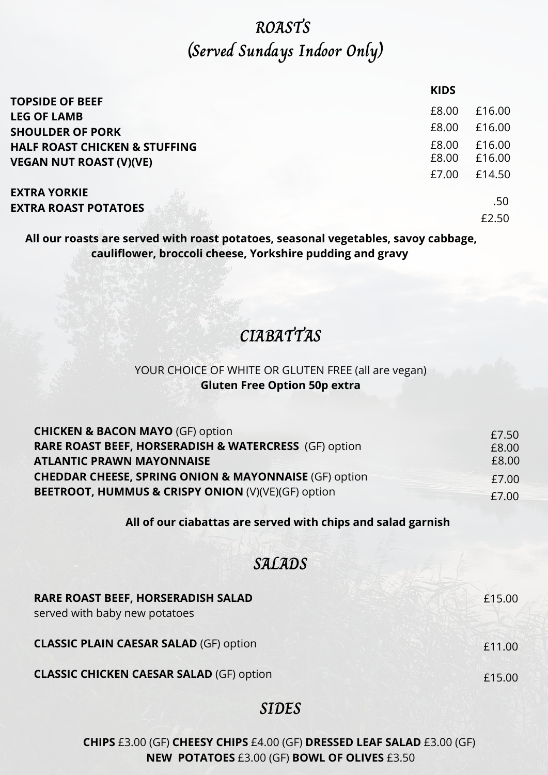### **ROASTS (Served Sundays Indoor Only)**

| <b>TOPSIDE OF BEEF</b>                   | £8.00 | £16.00 |
|------------------------------------------|-------|--------|
|                                          |       |        |
| <b>LEG OF LAMB</b>                       |       |        |
| <b>SHOULDER OF PORK</b>                  | £8.00 | £16.00 |
| <b>HALF ROAST CHICKEN &amp; STUFFING</b> | £8.00 | £16.00 |
| <b>VEGAN NUT ROAST (V)(VE)</b>           | £8.00 | £16.00 |
|                                          | £7.00 | £14.50 |
| <b>EXTRA YORKIE</b>                      |       |        |
| <b>EXTRA ROAST POTATOES</b>              |       | .50    |
|                                          |       | £2.50  |

**All our roasts are served with roast potatoes, seasonal vegetables, savoy cabbage, cauliflower, broccoli cheese, Yorkshire pudding and gravy**

### **CIABATTAS**

#### YOUR CHOICE OF WHITE OR GLUTEN FREE (all are vegan) **Gluten Free Option 50p extra**

| <b>CHICKEN &amp; BACON MAYO (GF) option</b>                      | £7.50 |
|------------------------------------------------------------------|-------|
| <b>RARE ROAST BEEF, HORSERADISH &amp; WATERCRESS</b> (GF) option | £8.00 |
| <b>ATLANTIC PRAWN MAYONNAISE</b>                                 | £8.00 |
| <b>CHEDDAR CHEESE, SPRING ONION &amp; MAYONNAISE (GF) option</b> | £7.00 |
| <b>BEETROOT, HUMMUS &amp; CRISPY ONION (V)(VE)(GF) option</b>    | £7.00 |

**All of our ciabattas are served with chips and salad garnish**

### **SALADS**

| <b>RARE ROAST BEEF, HORSERADISH SALAD</b><br>served with baby new potatoes | £15.00 |
|----------------------------------------------------------------------------|--------|
| <b>CLASSIC PLAIN CAESAR SALAD (GF) option</b>                              | £11.00 |
| <b>CLASSIC CHICKEN CAESAR SALAD (GF) option</b>                            | £15.00 |

#### **SIDES**

**CHIPS** £3.00 (GF) **CHEESY CHIPS** £4.00 (GF) **DRESSED LEAF SALAD** £3.00 (GF) **NEW POTATOES** £3.00 (GF) **BOWL OF OLIVES** £3.50